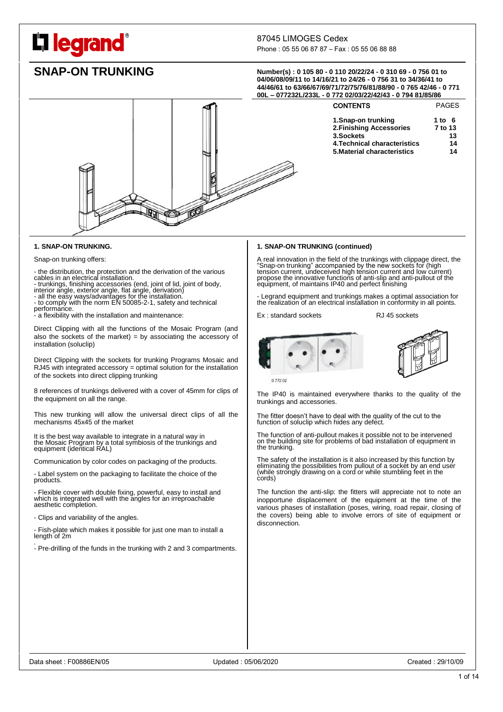# **legrand**

# 87045 LIMOGES Cedex

Phone : 05 55 06 87 87 – Fax : 05 55 06 88 88

**SNAP-ON TRUNKING Number(s) : <sup>0</sup> 105 80 - <sup>0</sup> 110 20/22/24 - <sup>0</sup> 310 69 - <sup>0</sup> 756 01 to 04/06/08/09/11 to 14/16/21 to 24/26 - 0 756 31 to 34/36/41 to 44/46/61 to 63/66/67/69/71/72/75/76/81/88/90 - 0 765 42/46 - 0 771 00L – 077232L/233L - 0 772 02/03/22/42/43 - 0 794 81/85/86**

> CONTENTS PAGES **1.Snap-on trunking 1 to 6 2.Finishing Accessories 7 to 13 3.Sockets 13 4.Technical characteristics 14 5.Material characteristics 14**

|  | --- | . |
|--|-----|---|
|  |     |   |
|  |     |   |

### **1. SNAP-ON TRUNKING (continued)**

A real innovation in the field of the trunkings with clippage direct, the "Snap-on trunking" accompanied by the new sockets for (high tension current, undeceived high tension current and low current) propose the innovative

- Legrand equipment and trunkings makes a optimal association for the realization of an electrical installation in conformity in all points.

Ex : standard sockets RJ 45 sockets





0 772 02

The IP40 is maintained everywhere thanks to the quality of the trunkings and accessories.

The fitter doesn't have to deal with the quality of the cut to the function of soluclip which hides any defect.

The function of anti-pullout makes it possible not to be intervened on the building site for problems of bad installation of equipment in the trunking.

The safety of the installation is it also increased by this function by eliminating the possibilities from pullout of a sockét by an end usér<br>(while strongly drawing on a cord or while stumbling feet in the cords)

The function the anti-slip: the fitters will appreciate not to note an inopportune displacement of the equipment at the time of the various phases of installation (poses, wiring, road repair, closing of the covers) being able to involve errors of site of equipment or disconnection.

### **1. SNAP-ON TRUNKING.**

Snap-on trunking offers:

- the distribution, the protection and the derivation of the various cables in an electrical installation.

- trunkings, finishing accessories (end, joint of lid, joint of body,

interior angle, exterior angle, flat angle, derivation) - all the easy ways/advantages for the installation. - to comply with the norm EN 50085-2-1, safety and technical

performance.

- a flexibility with the installation and maintenance:

Direct Clipping with all the functions of the Mosaic Program (and also the sockets of the market) = by associating the accessory of installation (soluclip)

Direct Clipping with the sockets for trunking Programs Mosaic and RJ45 with integrated accessory = optimal solution for the installation of the sockets into direct clipping trunking

8 references of trunkings delivered with a cover of 45mm for clips of the equipment on all the range.

This new trunking will allow the universal direct clips of all the mechanisms 45x45 of the market

It is the best way available to integrate in a natural way in the Mosaic Program by a total symbiosis of the trunkings and equipment (identical RAL)

Communication by color codes on packaging of the products.

- Label system on the packaging to facilitate the choice of the products.

- Flexible cover with double fixing, powerful, easy to install and which is integrated well with the angles for an irreproachable aesthetic completion.

- Clips and variability of the angles.

- Fish-plate which makes it possible for just one man to install a length of 2m .

- Pre-drilling of the funds in the trunking with 2 and 3 compartments.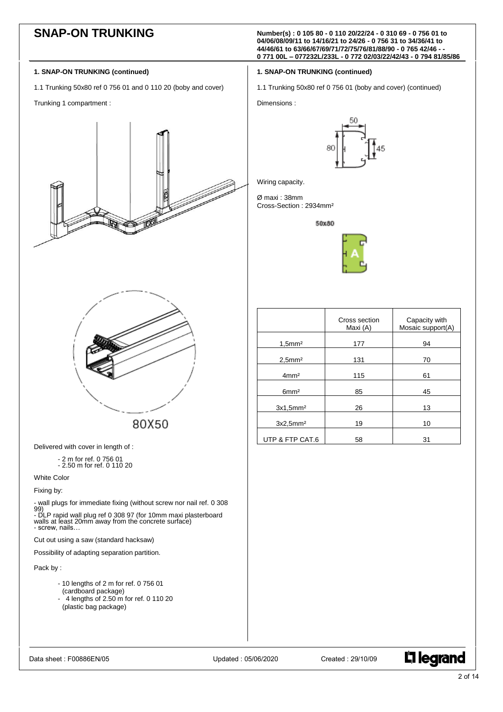**SNAP-ON TRUNKING Number(s) : <sup>0</sup> 105 80 - <sup>0</sup> 110 20/22/24 - <sup>0</sup> 310 69 - <sup>0</sup> 756 01 to 04/06/08/09/11 to 14/16/21 to 24/26 - 0 756 31 to 34/36/41 to 44/46/61 to 63/66/67/69/71/72/75/76/81/88/90 - 0 765 42/46 - - 0 771 00L – 077232L/233L - 0 772 02/03/22/42/43 - 0 794 81/85/86**

1.1 Trunking 50x80 ref 0 756 01 (boby and cover) (continued)

### **1. SNAP-ON TRUNKING (continued)**

- 1.1 Trunking 50x80 ref 0 756 01 and 0 110 20 (boby and cover)
- Trunking 1 compartment :





80X50

Delivered with cover in length of :

- 2 m for ref. 0 756 01 - 2.50 m for ref. 0 110 20

White Color

Fixing by:

- wall plugs for immediate fixing (without screw nor nail ref. 0 308

99) - DLP rapid wall plug ref 0 308 97 (for 10mm maxi plasterboard walls at least 20mm away from the concrete surface) - screw, nails…

Cut out using a saw (standard hacksaw)

Possibility of adapting separation partition.

Pack by :

- 10 lengths of 2 m for ref. 0 756 01 (cardboard package)
- $-$  4 lengths of 2.50 m for ref. 0 110 20 (plastic bag package)





| 80 | h |
|----|---|
|    |   |
|    |   |

**1. SNAP-ON TRUNKING (continued)**

Wiring capacity.

Dimensions :

Ø maxi : 38mm Cross-Section : 2934mm²

50x80



|                       | Cross section<br>Maxi (A) | Capacity with<br>Mosaic support(A) |
|-----------------------|---------------------------|------------------------------------|
| $1,5$ mm <sup>2</sup> | 177                       | 94                                 |
| $2.5$ mm $2$          | 131                       | 70                                 |
| 4mm <sup>2</sup>      | 115                       | 61                                 |
| 6mm <sup>2</sup>      | 85                        | 45                                 |
| 3x1.5mm <sup>2</sup>  | 26                        | 13                                 |
| 3x2.5mm <sup>2</sup>  | 19                        | 10                                 |
| UTP & FTP CAT.6       | 58                        | 31                                 |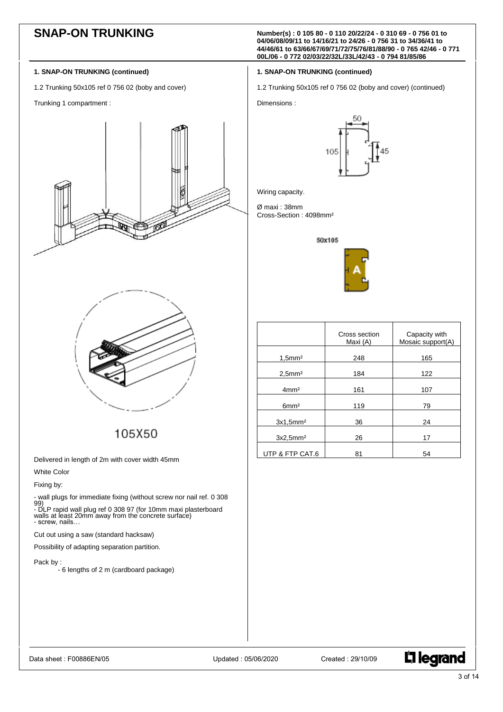**SNAP-ON TRUNKING Number(s) : 0 105 80 - <sup>0</sup> 110 20/22/24 - <sup>0</sup> 310 69 - <sup>0</sup> 756 01 to 04/06/08/09/11 to 14/16/21 to 24/26 - 0 756 31 to 34/36/41 to 44/46/61 to 63/66/67/69/71/72/75/76/81/88/90 - 0 765 42/46 - 0 771 00L/06 - 0 772 02/03/22/32L/33L/42/43 - 0 794 81/85/86**

1.2 Trunking 50x105 ref 0 756 02 (boby and cover) (continued)

# **1. SNAP-ON TRUNKING (continued)**

1.2 Trunking 50x105 ref 0 756 02 (boby and cover)

Trunking 1 compartment :





105X50

Delivered in length of 2m with cover width 45mm

White Color

Fixing by:

- wall plugs for immediate fixing (without screw nor nail ref. 0 308

99) - DLP rapid wall plug ref 0 308 97 (for 10mm maxi plasterboard walls at least 20mm away from the concrete surface) - screw, nails…

Cut out using a saw (standard hacksaw)

Possibility of adapting separation partition.

Pack by :

- 6 lengths of 2 m (cardboard package)



Wiring capacity.

Dimensions :

Ø maxi : 38mm Cross-Section : 4098mm²

50x105

**1. SNAP-ON TRUNKING (continued)**



|                       | Cross section<br>Maxi (A) | Capacity with<br>Mosaic support(A) |
|-----------------------|---------------------------|------------------------------------|
| $1,5$ mm $2$          | 248                       | 165                                |
| $2,5$ mm <sup>2</sup> | 184                       | 122                                |
| 4mm <sup>2</sup>      | 161                       | 107                                |
| 6mm <sup>2</sup>      | 119                       | 79                                 |
| 3x1.5mm <sup>2</sup>  | 36                        | 24                                 |
| 3x2.5mm <sup>2</sup>  | 26                        | 17                                 |
| UTP & FTP CAT.6       | 81                        | 54                                 |

Data sheet : F00886EN/05 Updated : 05/06/2020 Created : 29/10/09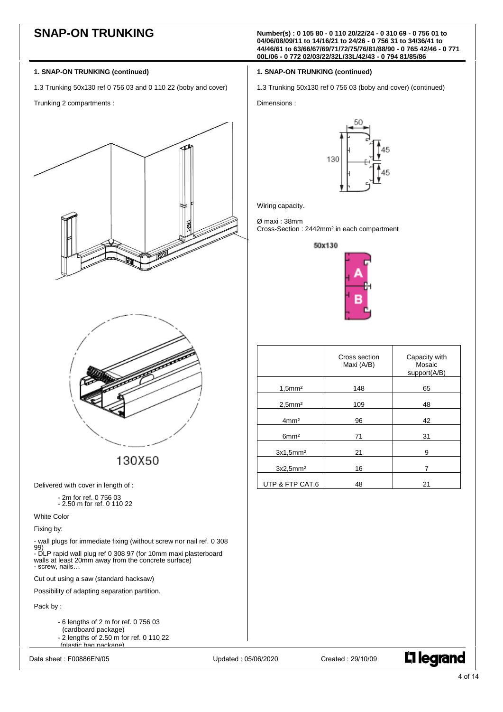**SNAP-ON TRUNKING Number(s) : <sup>0</sup> 105 80 - <sup>0</sup> 110 20/22/24 - <sup>0</sup> 310 69 - <sup>0</sup> 756 01 to 04/06/08/09/11 to 14/16/21 to 24/26 - 0 756 31 to 34/36/41 to 44/46/61 to 63/66/67/69/71/72/75/76/81/88/90 - 0 765 42/46 - 0 771 00L/06 - 0 772 02/03/22/32L/33L/42/43 - 0 794 81/85/86**

1.3 Trunking 50x130 ref 0 756 03 (boby and cover) (continued)

# **1. SNAP-ON TRUNKING (continued)**

1.3 Trunking 50x130 ref 0 756 03 and 0 110 22 (boby and cover)

Trunking 2 compartments :





130X50

Delivered with cover in length of :

- 2m for ref. 0 756 03 - 2.50 m for ref. 0 110 22

White Color

Fixing by:

- wall plugs for immediate fixing (without screw nor nail ref. 0 308 99) - DLP rapid wall plug ref 0 308 97 (for 10mm maxi plasterboard walls at least 20mm away from the concrete surface) - screw, nails…

Cut out using a saw (standard hacksaw)

Possibility of adapting separation partition.

Pack by :

- 6 lengths of 2 m for ref. 0 756 03 (cardboard package) - 2 lengths of 2.50 m for ref. 0 110 22 (plastic bag package)

**L'1 legrand** 



Wiring capacity.

Dimensions :

Ø maxi : 38mm Cross-Section : 2442mm² in each compartment

**1. SNAP-ON TRUNKING (continued)**





|                       | Cross section<br>Maxi (A/B) | Capacity with<br>Mosaic<br>support(A/B) |
|-----------------------|-----------------------------|-----------------------------------------|
| $1,5$ mm <sup>2</sup> | 148                         | 65                                      |
| $2,5$ mm <sup>2</sup> | 109                         | 48                                      |
| 4mm <sup>2</sup>      | 96                          | 42                                      |
| 6mm <sup>2</sup>      | 71                          | 31                                      |
| 3x1.5mm <sup>2</sup>  | 21                          | 9                                       |
| 3x2.5mm <sup>2</sup>  | 16                          | 7                                       |
| UTP & FTP CAT.6       | 48                          | 21                                      |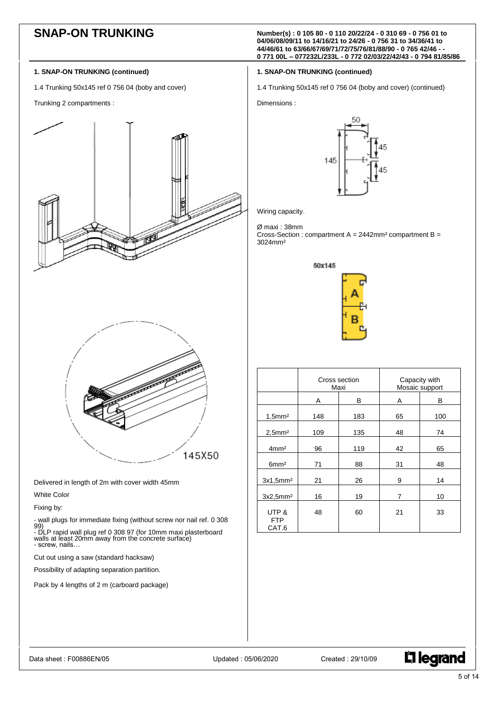# **1. SNAP-ON TRUNKING (continued)**

1.4 Trunking 50x145 ref 0 756 04 (boby and cover)

Trunking 2 compartments :





Delivered in length of 2m with cover width 45mm

# White Color

Fixing by:

- wall plugs for immediate fixing (without screw nor nail ref. 0 308

99) - DLP rapid wall plug ref 0 308 97 (for 10mm maxi plasterboard walls at least 20mm away from the concrete surface) - screw, nails…

Cut out using a saw (standard hacksaw)

Possibility of adapting separation partition.

Pack by 4 lengths of 2 m (carboard package)

**SNAP-ON TRUNKING Number(s) : <sup>0</sup> 105 80 - <sup>0</sup> 110 20/22/24 - <sup>0</sup> 310 69 - <sup>0</sup> 756 01 to 04/06/08/09/11 to 14/16/21 to 24/26 - 0 756 31 to 34/36/41 to 44/46/61 to 63/66/67/69/71/72/75/76/81/88/90 - 0 765 42/46 - - 0 771 00L – 077232L/233L - 0 772 02/03/22/42/43 - 0 794 81/85/86**

# **1. SNAP-ON TRUNKING (continued)**

1.4 Trunking 50x145 ref 0 756 04 (boby and cover) (continued)

Dimensions :



Wiring capacity.

Ø maxi : 38mm Cross-Section : compartment  $A = 2442$ mm<sup>2</sup> compartment  $B =$ 3024mm²



|                              | Cross section<br>Maxi |     |    | Capacity with<br>Mosaic support |
|------------------------------|-----------------------|-----|----|---------------------------------|
|                              | Α                     | в   | Α  | B                               |
| $1,5$ mm $^2$                | 148                   | 183 | 65 | 100                             |
| $2,5$ mm <sup>2</sup>        | 109                   | 135 | 48 | 74                              |
| 4mm <sup>2</sup>             | 96                    | 119 | 42 | 65                              |
| 6mm <sup>2</sup>             | 71                    | 88  | 31 | 48                              |
| 3x1.5mm <sup>2</sup>         | 21                    | 26  | 9  | 14                              |
| 3x2,5mm <sup>2</sup>         | 16                    | 19  | 7  | 10                              |
| UTP &<br><b>FTP</b><br>CAT.6 | 48                    | 60  | 21 | 33                              |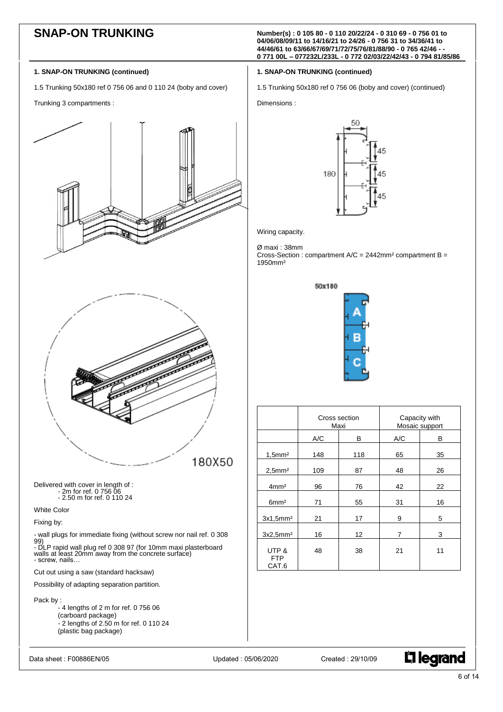**SNAP-ON TRUNKING Number(s) : <sup>0</sup> 105 80 - <sup>0</sup> 110 20/22/24 - <sup>0</sup> 310 69 - <sup>0</sup> 756 01 to 04/06/08/09/11 to 14/16/21 to 24/26 - 0 756 31 to 34/36/41 to 44/46/61 to 63/66/67/69/71/72/75/76/81/88/90 - 0 765 42/46 - - 0 771 00L – 077232L/233L - 0 772 02/03/22/42/43 - 0 794 81/85/86**

1.5 Trunking 50x180 ref 0 756 06 (boby and cover) (continued)

**1. SNAP-ON TRUNKING (continued)**

### **1. SNAP-ON TRUNKING (continued)**

1.5 Trunking 50x180 ref 0 756 06 and 0 110 24 (boby and cover)

Trunking 3 compartments :



- 4 lengths of 2 m for ref. 0 756 06 (carboard package) - 2 lengths of 2.50 m for ref. 0 110 24 (plastic bag package)

Data sheet : F00886EN/05 Updated : 05/06/2020 Created : 29/10/09





Wiring capacity.

Dimensions :

Ø maxi : 38mm

Cross-Section : compartment A/C = 2442mm² compartment B = 1950mm²



|                              | Cross section<br>Maxi |     | Capacity with | Mosaic support |
|------------------------------|-----------------------|-----|---------------|----------------|
|                              | A/C                   | в   | A/C           | в              |
| $1,5$ mm <sup>2</sup>        | 148                   | 118 | 65            | 35             |
| $2,5$ mm <sup>2</sup>        | 109                   | 87  | 48            | 26             |
| 4mm <sup>2</sup>             | 96                    | 76  | 42            | 22             |
| 6mm <sup>2</sup>             | 71                    | 55  | 31            | 16             |
| 3x1,5mm <sup>2</sup>         | 21                    | 17  | 9             | 5              |
| 3x2.5mm <sup>2</sup>         | 16                    | 12  | 7             | 3              |
| UTP &<br><b>FTP</b><br>CAT.6 | 48                    | 38  | 21            | 11             |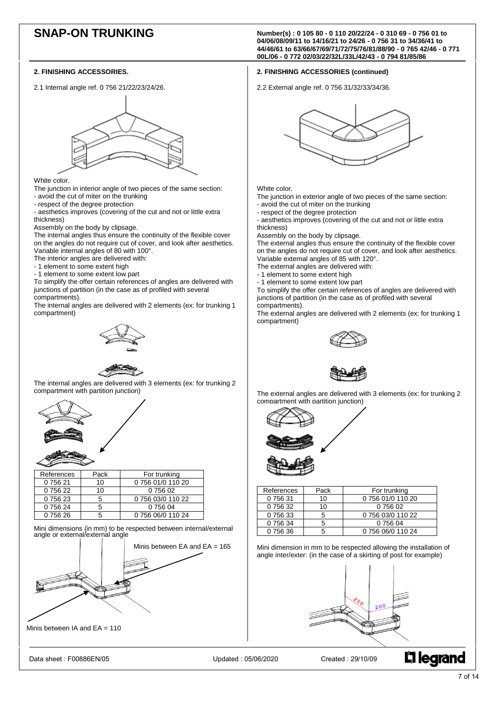### **2. FINISHING ACCESSORIES.**

2.1 Internal angle ref. 0 756 21/22/23/24/26.



White color.

- The junction in interior angle of two pieces of the same section:
- avoid the cut of miter on the trunking
- respect of the degree protection

- aesthetics improves (covering of the cut and not or little extra thickness)

Assembly on the body by clipsage.

The internal angles thus ensure the continuity of the flexible cover on the angles do not require cut of cover, and look after aesthetics. Variable internal angles of 80 with 100°.

The interior angles are delivered with:

- 1 element to some extent high
- 1 element to some extent low part

To simplify the offer certain references of angles are delivered with junctions of partition (in the case as of profiled with several compartments).

The internal angles are delivered with 2 elements (ex: for trunking 1 compartment)





 The internal angles are delivered with 3 elements (ex: for trunking 2 compartment with partition junction)



| References | Pack | For trunking      |
|------------|------|-------------------|
| 0 756 21   | 10   | 0 756 01/0 110 20 |
| 0 756 22   | 10   | 0 756 02          |
| 0 756 23   |      | 0 756 03/0 110 22 |
| 0 756 24   |      | 0 756 04          |
| 0 756 26   |      | 0 756 06/0 110 24 |
|            |      |                   |

Mini dimensions (in mm) to be respected between internal/external angle or external/external angle



Minis between IA and  $EA = 110$ 

Data sheet : F00886EN/05 Updated : 05/06/2020 Created : 29/10/09

**SNAP-ON TRUNKING Number(s) : <sup>0</sup> 105 80 - <sup>0</sup> 110 20/22/24 - <sup>0</sup> 310 69 - <sup>0</sup> 756 01 to 04/06/08/09/11 to 14/16/21 to 24/26 - 0 756 31 to 34/36/41 to 44/46/61 to 63/66/67/69/71/72/75/76/81/88/90 - 0 765 42/46 - 0 771 00L/06 - 0 772 02/03/22/32L/33L/42/43 - 0 794 81/85/86**

### **2. FINISHING ACCESSORIES (continued)**

2.2 External angle ref. 0 756 31/32/33/34/36.



### White color.

The junction in exterior angle of two pieces of the same section: - avoid the cut of miter on the trunking

- respect of the degree protection

- aesthetics improves (covering of the cut and not or little extra thickness)

Assembly on the body by clipsage.

The external angles thus ensure the continuity of the flexible cover on the angles do not require cut of cover, and look after aesthetics. Variable external angles of 85 with 120°.

- The external angles are delivered with:
- 1 element to some extent high
- 1 element to some extent low part

To simplify the offer certain references of angles are delivered with junctions of partition (in the case as of profiled with several compartments).

The external angles are delivered with 2 elements (ex: for trunking 1 compartment)





 The external angles are delivered with 3 elements (ex: for trunking 2 compartment with partition junction)



| References | Pack | For trunking      |
|------------|------|-------------------|
| 075631     | 10   | 0 756 01/0 110 20 |
| 0 756 32   | 10   | 0 756 02          |
| 0 756 33   |      | 0 756 03/0 110 22 |
| 0 756 34   |      | 0 756 04          |
| 0 756 36   |      | 0 756 06/0 110 24 |

Mini dimension in mm to be respected allowing the installation of angle inter/exter: (in the case of a skirting of post for example)

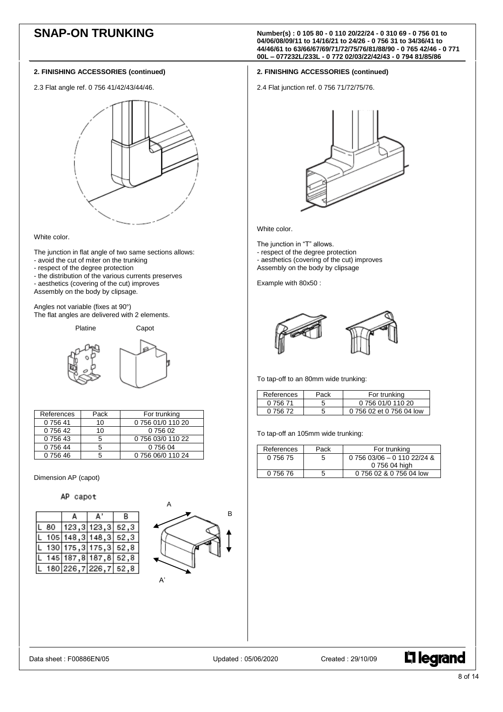2.3 Flat angle ref. 0 756 41/42/43/44/46.



### White color.

- The junction in flat angle of two same sections allows: - avoid the cut of miter on the trunking
- respect of the degree protection
- the distribution of the various currents preserves
- aesthetics (covering of the cut) improves
- Assembly on the body by clipsage.

Angles not variable (fixes at 90°) The flat angles are delivered with 2 elements.

Platine Capot



| References | Pack | For trunking      |
|------------|------|-------------------|
| 0 756 41   | 10   | 0 756 01/0 110 20 |
| 0 756 42   | 10   | 0 756 02          |
| 0 756 43   |      | 0 756 03/0 110 22 |
| 0 756 44   |      | 0 756 04          |
| 0 756 46   |      | 0 756 06/0 110 24 |

Dimension AP (capot)

# AP capot





**SNAP-ON TRUNKING Number(s) : <sup>0</sup> 105 80 - <sup>0</sup> 110 20/22/24 - <sup>0</sup> 310 69 - <sup>0</sup> 756 01 to 04/06/08/09/11 to 14/16/21 to 24/26 - 0 756 31 to 34/36/41 to 44/46/61 to 63/66/67/69/71/72/75/76/81/88/90 - 0 765 42/46 - 0 771 00L – 077232L/233L - 0 772 02/03/22/42/43 - 0 794 81/85/86**

# **2. FINISHING ACCESSORIES (continued)**

2.4 Flat junction ref. 0 756 71/72/75/76.



White color.

The junction in "T" allows.

- respect of the degree protection
- aesthetics (covering of the cut) improves
- Assembly on the body by clipsage

Example with 80x50 :



To tap-off to an 80mm wide trunking:

| References | Pack | For trunking             |
|------------|------|--------------------------|
| 0 756 71   |      | 0 756 01/0 110 20        |
| በ 756 72   |      | 0 756 02 et 0 756 04 low |

To tap-off an 105mm wide trunking:

| References | Pack | For trunking                      |
|------------|------|-----------------------------------|
| 0 756 75   | 5    | $0.756$ $03/06 - 0.110$ $22/24$ & |
|            |      | 0 756 04 high                     |
| 0 756 76   |      | 0 756 02 & 0 756 04 low           |

Data sheet : F00886EN/05 Updated : 05/06/2020 Created : 29/10/09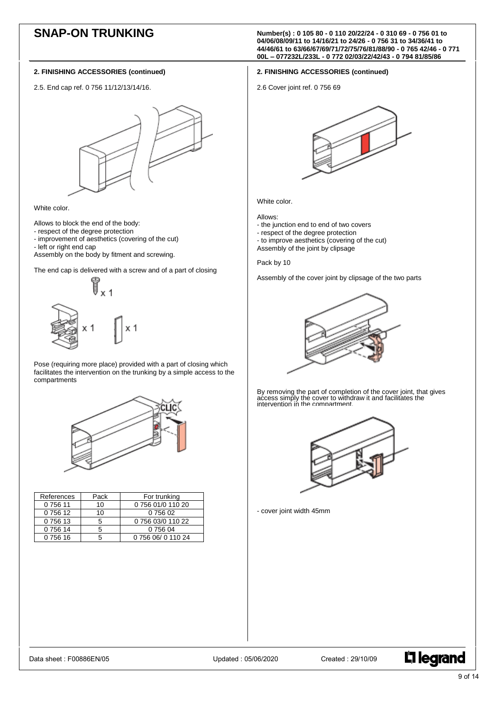2.5. End cap ref. 0 756 11/12/13/14/16.



White color.

Allows to block the end of the body:

- respect of the degree protection
- improvement of aesthetics (covering of the cut)
- left or right end cap

Assembly on the body by fitment and screwing.

The end cap is delivered with a screw and of a part of closing



Pose (requiring more place) provided with a part of closing which facilitates the intervention on the trunking by a simple access to the compartments



| References | Pack | For trunking       |
|------------|------|--------------------|
| 075611     | 10   | 0 756 01/0 110 20  |
| 0 756 12   | 10   | 0 756 02           |
| 0 756 13   | 5    | 0 756 03/0 110 22  |
| 075614     |      | 0 756 04           |
| 0 756 16   |      | 0 756 06/ 0 110 24 |

**SNAP-ON TRUNKING Number(s) : <sup>0</sup> 105 80 - <sup>0</sup> 110 20/22/24 - <sup>0</sup> 310 69 - <sup>0</sup> 756 01 to 04/06/08/09/11 to 14/16/21 to 24/26 - 0 756 31 to 34/36/41 to 44/46/61 to 63/66/67/69/71/72/75/76/81/88/90 - 0 765 42/46 - 0 771 00L – 077232L/233L - 0 772 02/03/22/42/43 - 0 794 81/85/86**

# **2. FINISHING ACCESSORIES (continued)**

2.6 Cover joint ref. 0 756 69



White color.

### Allows:

- the junction end to end of two covers
- respect of the degree protection
- to improve aesthetics (covering of the cut)
- Assembly of the joint by clipsage

# Pack by 10

Assembly of the cover joint by clipsage of the two parts



By removing the part of completion of the cover joint, that gives access simply the cover to withdraw it and facilitates the intervention in the compartment.



- cover joint width 45mm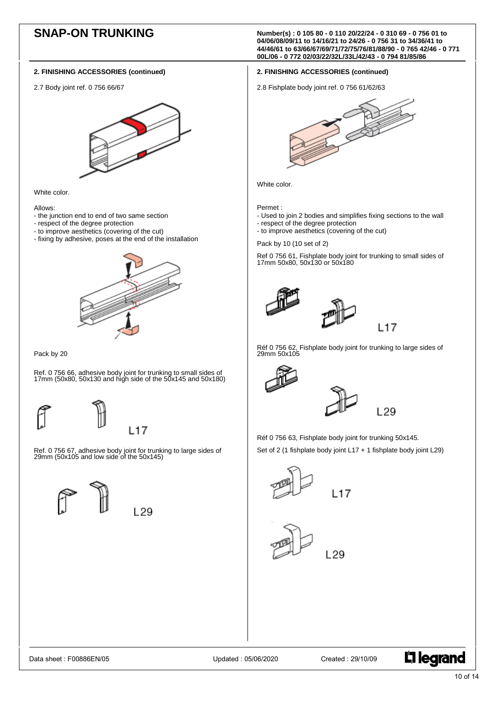2.7 Body joint ref. 0 756 66/67



White color.

Allows:

- the junction end to end of two same section

- respect of the degree protection
- to improve aesthetics (covering of the cut)
- fixing by adhesive, poses at the end of the installation



### Pack by 20

Ref. 0 756 66, adhesive body joint for trunking to small sides of 17mm (50x80, 50x130 and high side of the 50x145 and 50x180)





L<sub>29</sub>

Ref. 0 756 67, adhesive body joint for trunking to large sides of 29mm (50x105 and low side of the 50x145)



**SNAP-ON TRUNKING Number(s) : <sup>0</sup> 105 80 - <sup>0</sup> 110 20/22/24 - <sup>0</sup> 310 69 - <sup>0</sup> 756 01 to 04/06/08/09/11 to 14/16/21 to 24/26 - 0 756 31 to 34/36/41 to 44/46/61 to 63/66/67/69/71/72/75/76/81/88/90 - 0 765 42/46 - 0 771 00L/06 - 0 772 02/03/22/32L/33L/42/43 - 0 794 81/85/86**

### **2. FINISHING ACCESSORIES (continued)**

2.8 Fishplate body joint ref. 0 756 61/62/63



White color.

Permet :

- Used to join 2 bodies and simplifies fixing sections to the wall
- respect of the degree protection
- to improve aesthetics (covering of the cut)

Pack by 10 (10 set of 2)

Ref 0 756 61, Fishplate body joint for trunking to small sides of 17mm 50x80, 50x130 or 50x180





Réf 0 756 62, Fishplate body joint for trunking to large sides of 29mm 50x105





Réf 0 756 63, Fishplate body joint for trunking 50x145.

Set of 2 (1 fishplate body joint L17 + 1 fishplate body joint L29)



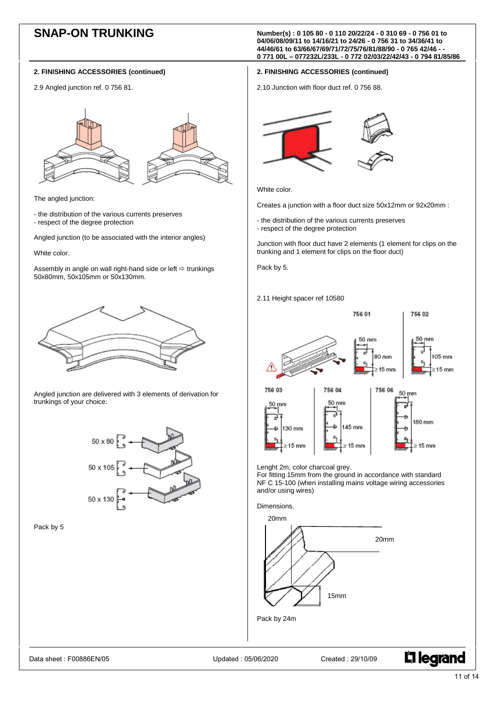2.9 Angled junction ref. 0 756 81.



The angled junction:

- the distribution of the various currents preserves - respect of the degree protection

Angled junction (to be associated with the interior angles)

White color.

Assembly in angle on wall right-hand side or left  $\Rightarrow$  trunkings 50x80mm, 50x105mm or 50x130mm.



Angled junction are delivered with 3 elements of derivation for trunkings of your choice:



Pack by 5

**SNAP-ON TRUNKING Number(s) : <sup>0</sup> 105 80 - <sup>0</sup> 110 20/22/24 - <sup>0</sup> 310 69 - <sup>0</sup> 756 01 to 04/06/08/09/11 to 14/16/21 to 24/26 - 0 756 31 to 34/36/41 to 44/46/61 to 63/66/67/69/71/72/75/76/81/88/90 - 0 765 42/46 - - 0 771 00L – 077232L/233L - 0 772 02/03/22/42/43 - 0 794 81/85/86**

# **2. FINISHING ACCESSORIES (continued)**

2.10 Junction with floor duct ref. 0 756 88.



White color.

Creates a junction with a floor duct size 50x12mm or 92x20mm :

- the distribution of the various currents preserves
- respect of the degree protection

Junction with floor duct have 2 elements (1 element for clips on the trunking and 1 element for clips on the floor duct)

Pack by 5.

2.11 Height spacer ref 10580







Lenght 2m, color charcoal grey.

For fitting 15mm from the ground in accordance with standard NF C 15-100 (when installing mains voltage wiring accessories and/or using wires)

Dimensions.



Data sheet : F00886EN/05 Updated : 05/06/2020 Created : 29/10/09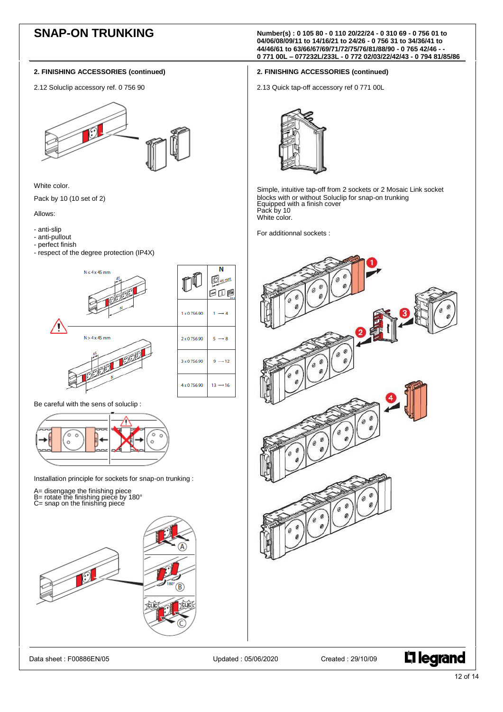2.12 Soluclip accessory ref. 0 756 90



White color.

Pack by 10 (10 set of 2)

Allows:

- anti-slip
- anti-pullout
- perfect finish
- respect of the degree protection (IP4X)



Be careful with the sens of soluclip :



Installation principle for sockets for snap-on trunking :

- 
- A= disengage the finishing piece B= rotate the finishing piece by 180° C= snap on the finishing piece
- 



**SNAP-ON TRUNKING Number(s) : <sup>0</sup> 105 80 - <sup>0</sup> 110 20/22/24 - <sup>0</sup> 310 69 - <sup>0</sup> 756 01 to 04/06/08/09/11 to 14/16/21 to 24/26 - 0 756 31 to 34/36/41 to 44/46/61 to 63/66/67/69/71/72/75/76/81/88/90 - 0 765 42/46 - - 0 771 00L – 077232L/233L - 0 772 02/03/22/42/43 - 0 794 81/85/86**

# **2. FINISHING ACCESSORIES (continued)**

2.13 Quick tap-off accessory ref 0 771 00L



Simple, intuitive tap-off from 2 sockets or 2 Mosaic Link socket blocks with or without Soluclip for snap-on trunking Equipped with a finish cover Pack by 10 White color.

For additionnal sockets :



12 of 14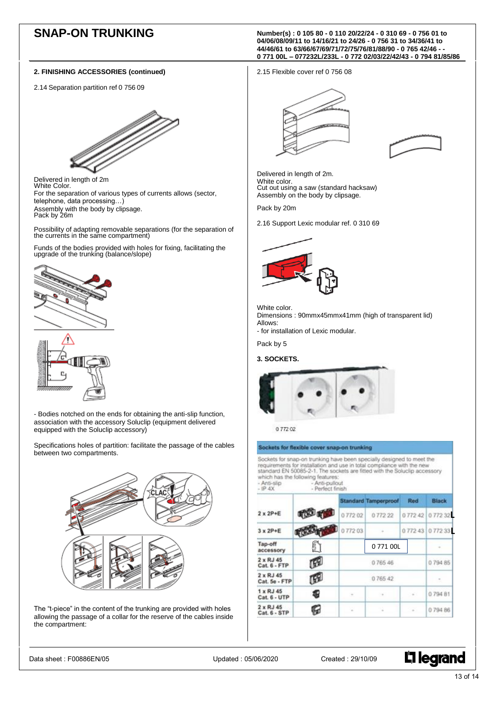2.14 Separation partition ref 0 756 09



 Delivered in length of 2m White Color. For the separation of various types of currents allows (sector, telephone, data processing…) Assembly with the body by clipsage. Pack by 26m

Possibility of adapting removable separations (for the separation of the currents in the same compartment)

Funds of the bodies provided with holes for fixing, facilitating the upgrade of the trunking (balance/slope)





- Bodies notched on the ends for obtaining the anti-slip function, association with the accessory Soluclip (equipment delivered equipped with the Soluclip accessory)

Specifications holes of partition: facilitate the passage of the cables between two compartments.



The "t-piece" in the content of the trunking are provided with holes allowing the passage of a collar for the reserve of the cables inside the compartment:

**SNAP-ON TRUNKING Number(s) : <sup>0</sup> 105 80 - <sup>0</sup> 110 20/22/24 - <sup>0</sup> 310 69 - <sup>0</sup> 756 01 to 04/06/08/09/11 to 14/16/21 to 24/26 - 0 756 31 to 34/36/41 to 44/46/61 to 63/66/67/69/71/72/75/76/81/88/90 - 0 765 42/46 - - 0 771 00L – 077232L/233L - 0 772 02/03/22/42/43 - 0 794 81/85/86**

2.15 Flexible cover ref 0 756 08





Delivered in length of 2m. White color. Cut out using a saw (standard hacksaw) Assembly on the body by clipsage.

Pack by 20m

2.16 Support Lexic modular ref. 0 310 69



White color. Dimensions : 90mmx45mmx41mm (high of transparent lid) Allows: - for installation of Lexic modular.

Pack by 5

# **3. SOCKETS.**



0 772 02

# Sockets for flexible cover snap-on trunking

Sockets for snap-on trunking have been specially designed to meet the Sockets for shap-on trunking have been specially designed to meet the requirements for installation and use in total compliance with the new standard EN 50085-2-1. The sockets are fitted with the Solucity accessory which h

ü.

- Anti-slip - Anti-pullout

|                                   |    |        | <b>Standard Tamperproof</b> | Red        | <b>Black</b>  |
|-----------------------------------|----|--------|-----------------------------|------------|---------------|
| $2 \times 2P + E$                 | 脚硬 | 077202 | 077222                      | 077242     | 077232        |
| $3 \times 2P + E$                 |    | 077203 |                             |            | 077243 077233 |
| Tap-off<br>accessory              | ñ  |        | 077100L                     |            |               |
| $2 \times RJ$ 45<br>Cat. 6 - FTP  | 唧  | 076546 |                             | 079485     |               |
| $2 \times RJ$ 45<br>Cat. 5e - FTP | 唧  | 076542 |                             | $\sim$     |               |
| $1 \times RJ$ 45<br>Cat. 6 - UTP  | €  | $\sim$ | $-4$                        | $\alpha$ . | 079481        |
| $2 \times RJ$ 45<br>Cat. 6 - STP  | G  | ×      |                             | ÷          | 079486        |

Data sheet : F00886EN/05 Updated : 05/06/2020 Created : 29/10/09

L<sub>i</sub> legrand